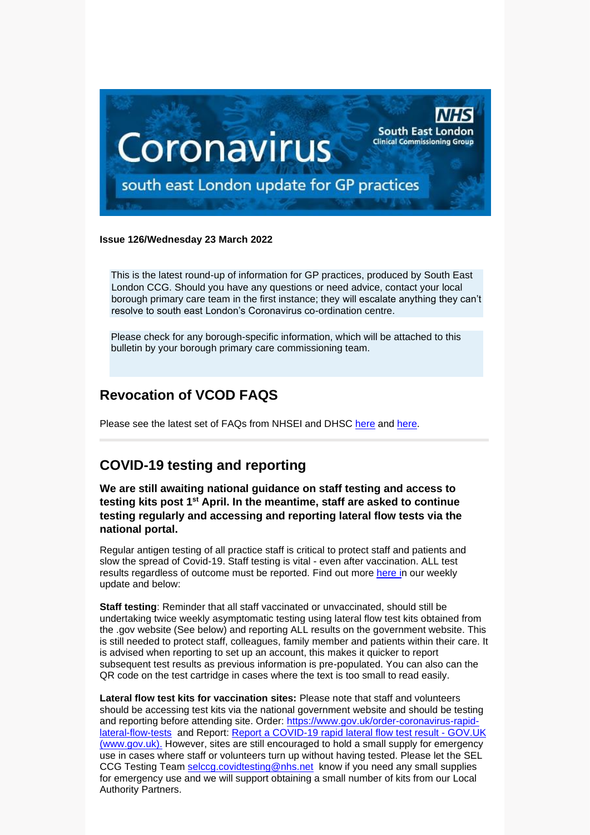

#### **Issue 126/Wednesday 23 March 2022**

This is the latest round-up of information for GP practices, produced by South East London CCG. Should you have any questions or need advice, contact your local borough primary care team in the first instance; they will escalate anything they can't resolve to south east London's Coronavirus co-ordination centre.

Please check for any borough-specific information, which will be attached to this bulletin by your borough primary care commissioning team.

#### **Revocation of VCOD FAQS**

Please see the latest set of FAQs from NHSEI and DHSC [here](https://selondonccg.nhs.uk/wp-content/uploads/2022/03/200315-VCOD-Revocation-FAQs-V.1.1.docx) and [here.](https://selondonccg.nhs.uk/wp-content/uploads/2022/03/Publishable-VCOD-Q_A-updated-03.03.22.pdf)

# **COVID-19 testing and reporting**

**We are still awaiting national guidance on staff testing and access to testing kits post 1st April. In the meantime, staff are asked to continue testing regularly and accessing and reporting lateral flow tests via the national portal.**

Regular antigen testing of all practice staff is critical to protect staff and patients and slow the spread of Covid-19. Staff testing is vital - even after vaccination. ALL test results regardless of outcome must be reported. Find out more [here](https://selondonccg.nhs.uk/wp-content/uploads/2022/03/Key-messages-for-GP-weekly-bulletin-18-March-2022.pdf) in our weekly update and below:

**Staff testing**: Reminder that all staff vaccinated or unvaccinated, should still be undertaking twice weekly asymptomatic testing using lateral flow test kits obtained from the .gov website (See below) and reporting ALL results on the government website. This is still needed to protect staff, colleagues, family member and patients within their care. It is advised when reporting to set up an account, this makes it quicker to report subsequent test results as previous information is pre-populated. You can also can the QR code on the test cartridge in cases where the text is too small to read easily.

**Lateral flow test kits for vaccination sites:** Please note that staff and volunteers should be accessing test kits via the national government website and should be testing and reporting before attending site. Order: [https://www.gov.uk/order-coronavirus-rapid](https://www.gov.uk/order-coronavirus-rapid-lateral-flow-tests)[lateral-flow-tests](https://www.gov.uk/order-coronavirus-rapid-lateral-flow-tests) and Report: [Report a COVID-19 rapid lateral flow test result -](https://www.gov.uk/report-covid19-result) GOV.UK [\(www.gov.uk\).](https://www.gov.uk/report-covid19-result) However, sites are still encouraged to hold a small supply for emergency use in cases where staff or volunteers turn up without having tested. Please let the SEL CCG Testing Team [selccg.covidtesting@nhs.net](mailto:selccg.covidtesting@nhs.net) know if you need any small supplies for emergency use and we will support obtaining a small number of kits from our Local Authority Partners.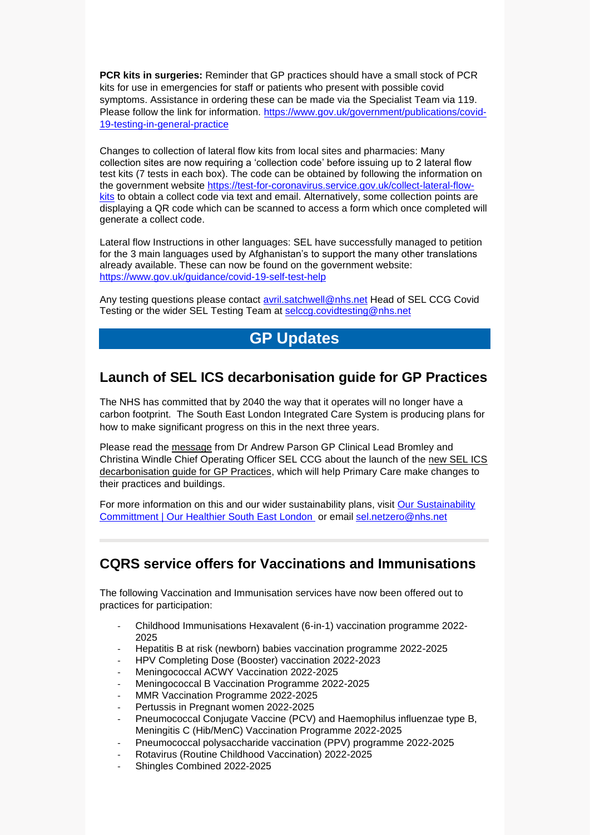**PCR kits in surgeries:** Reminder that GP practices should have a small stock of PCR kits for use in emergencies for staff or patients who present with possible covid symptoms. Assistance in ordering these can be made via the Specialist Team via 119. Please follow the link for information. [https://www.gov.uk/government/publications/covid-](https://www.gov.uk/government/publications/covid-19-testing-in-general-practice)[19-testing-in-general-practice](https://www.gov.uk/government/publications/covid-19-testing-in-general-practice)

Changes to collection of lateral flow kits from local sites and pharmacies: Many collection sites are now requiring a 'collection code' before issuing up to 2 lateral flow test kits (7 tests in each box). The code can be obtained by following the information on the government website [https://test-for-coronavirus.service.gov.uk/collect-lateral-flow](https://test-for-coronavirus.service.gov.uk/collect-lateral-flow-kits)[kits](https://test-for-coronavirus.service.gov.uk/collect-lateral-flow-kits) to obtain a collect code via text and email. Alternatively, some collection points are displaying a QR code which can be scanned to access a form which once completed will generate a collect code.

Lateral flow Instructions in other languages: SEL have successfully managed to petition for the 3 main languages used by Afghanistan's to support the many other translations already available. These can now be found on the government website: <https://www.gov.uk/guidance/covid-19-self-test-help>

Any testing questions please contact [avril.satchwell@nhs.net](mailto:avril.satchwell@nhs.net) Head of SEL CCG Covid Testing or the wider SEL Testing Team at [selccg.covidtesting@nhs.net](mailto:selccg.covidtesting@nhs.net)

# **GP Updates**

#### **Launch of SEL ICS decarbonisation guide for GP Practices**

The NHS has committed that by 2040 the way that it operates will no longer have a carbon footprint. The South East London Integrated Care System is producing plans for how to make significant progress on this in the next three years.

Please read the [message](https://selondonccg.nhs.uk/wp-content/uploads/2022/03/Decarb-guide-2022.pdf) from Dr Andrew Parson GP Clinical Lead Bromley and Christina Windle Chief Operating Officer SEL CCG about the launch of the [new SEL ICS](https://selondonccg.nhs.uk/covid_19/decarbonising-general-practice/)  [decarbonisation guide for GP Practices,](https://selondonccg.nhs.uk/covid_19/decarbonising-general-practice/) which will help Primary Care make changes to their practices and buildings.

For more information on this and our wider sustainability plans, visit Our Sustainability [Committment | Our Healthier South East London](https://www.ourhealthiersel.nhs.uk/about/our-sustainability-committment.htm) or email [sel.netzero@nhs.net](mailto:sel.netzero@nhs.net)

# **CQRS service offers for Vaccinations and Immunisations**

The following Vaccination and Immunisation services have now been offered out to practices for participation:

- Childhood Immunisations Hexavalent (6-in-1) vaccination programme 2022- 2025
- Hepatitis B at risk (newborn) babies vaccination programme 2022-2025
- HPV Completing Dose (Booster) vaccination 2022-2023
- Meningococcal ACWY Vaccination 2022-2025
- Meningococcal B Vaccination Programme 2022-2025
- MMR Vaccination Programme 2022-2025
- Pertussis in Pregnant women 2022-2025
- Pneumococcal Conjugate Vaccine (PCV) and Haemophilus influenzae type B, Meningitis C (Hib/MenC) Vaccination Programme 2022-2025
- Pneumococcal polysaccharide vaccination (PPV) programme 2022-2025
- Rotavirus (Routine Childhood Vaccination) 2022-2025
- Shingles Combined 2022-2025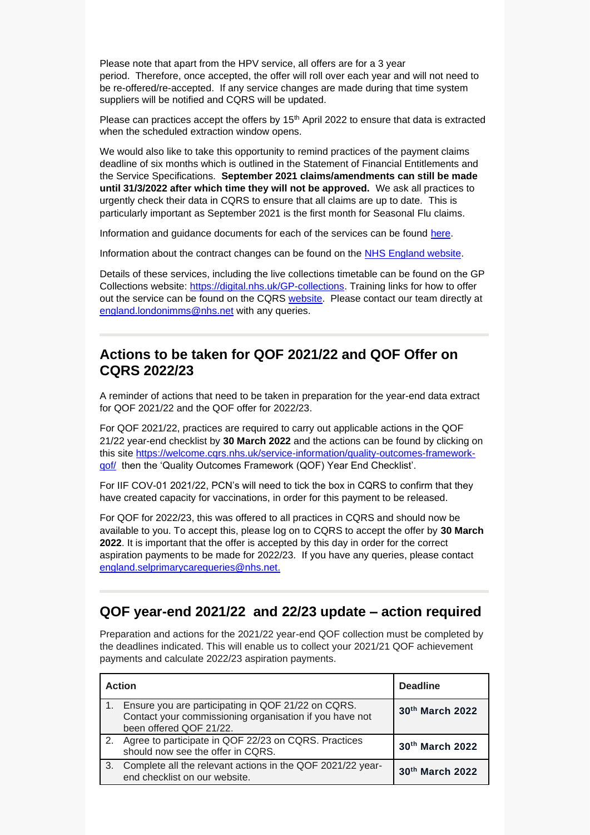Please note that apart from the HPV service, all offers are for a 3 year period. Therefore, once accepted, the offer will roll over each year and will not need to be re-offered/re-accepted. If any service changes are made during that time system suppliers will be notified and CQRS will be updated.

Please can practices accept the offers by  $15<sup>th</sup>$  April 2022 to ensure that data is extracted when the scheduled extraction window opens.

We would also like to take this opportunity to remind practices of the payment claims deadline of six months which is outlined in the Statement of Financial Entitlements and the Service Specifications. **September 2021 claims/amendments can still be made until 31/3/2022 after which time they will not be approved.** We ask all practices to urgently check their data in CQRS to ensure that all claims are up to date. This is particularly important as September 2021 is the first month for Seasonal Flu claims.

Information and guidance documents for each of the services can be found [here.](https://welcome.cqrs.nhs.uk/service-information/)

Information about the contract changes can be found on the [NHS England website.](https://www.england.nhs.uk/gp/investment/gp-contract/)

Details of these services, including the live collections timetable can be found on the GP Collections website: [https://digital.nhs.uk/GP-collections.](https://digital.nhs.uk/GP-collections) Training links for how to offer out the service can be found on the CQRS [website.](https://academy.midlandsandlancashirecsu.nhs.uk/cqrs-national-training/training-materials/) Please contact our team directly at [england.londonimms@nhs.net](mailto:england.londonimms@nhs.net) with any queries.

#### **Actions to be taken for QOF 2021/22 and QOF Offer on CQRS 2022/23**

A reminder of actions that need to be taken in preparation for the year-end data extract for QOF 2021/22 and the QOF offer for 2022/23.

For QOF 2021/22, practices are required to carry out applicable actions in the QOF 21/22 year-end checklist by **30 March 2022** and the actions can be found by clicking on this site [https://welcome.cqrs.nhs.uk/service-information/quality-outcomes-framework](https://welcome.cqrs.nhs.uk/service-information/quality-outcomes-framework-qof/)[qof/](https://welcome.cqrs.nhs.uk/service-information/quality-outcomes-framework-qof/) then the 'Quality Outcomes Framework (QOF) Year End Checklist'.

For IIF COV-01 2021/22, PCN's will need to tick the box in CQRS to confirm that they have created capacity for vaccinations, in order for this payment to be released.

For QOF for 2022/23, this was offered to all practices in CQRS and should now be available to you. To accept this, please log on to CQRS to accept the offer by **30 March 2022**. It is important that the offer is accepted by this day in order for the correct aspiration payments to be made for 2022/23. If you have any queries, please contact [england.selprimarycarequeries@nhs.net.](mailto:england.selprimarycarequeries@nhs.net)

#### **QOF year-end 2021/22 and 22/23 update – action required**

Preparation and actions for the 2021/22 year-end QOF collection must be completed by the deadlines indicated. This will enable us to collect your 2021/21 QOF achievement payments and calculate 2022/23 aspiration payments.

| <b>Action</b> |                                                                                                                                          | <b>Deadline</b> |
|---------------|------------------------------------------------------------------------------------------------------------------------------------------|-----------------|
|               | Ensure you are participating in QOF 21/22 on CQRS.<br>Contact your commissioning organisation if you have not<br>been offered QOF 21/22. | 30th March 2022 |
|               | Agree to participate in QOF 22/23 on CQRS. Practices<br>should now see the offer in CQRS.                                                | 30th March 2022 |
| 3.            | Complete all the relevant actions in the QOF 2021/22 year-<br>end checklist on our website.                                              | 30th March 2022 |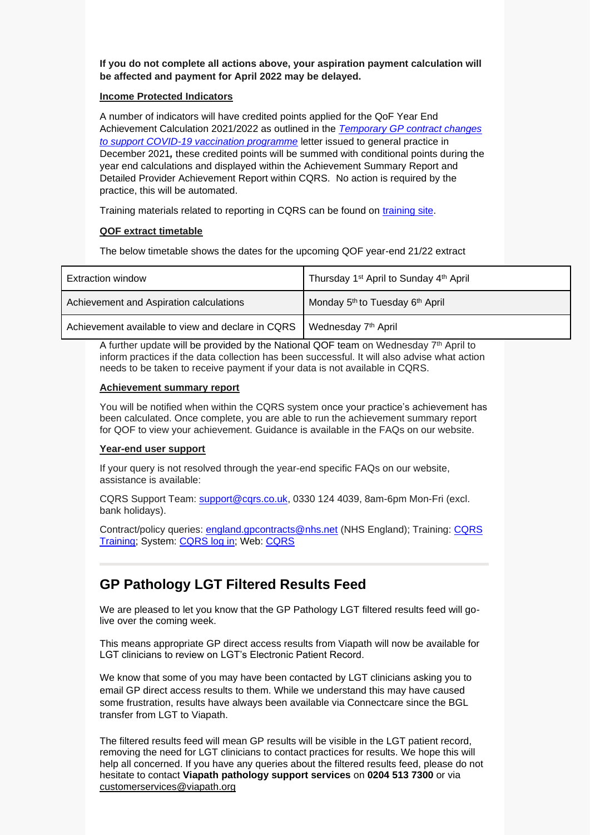**If you do not complete all actions above, your aspiration payment calculation will be affected and payment for April 2022 may be delayed.**

#### **Income Protected Indicators**

A number of indicators will have credited points applied for the QoF Year End Achievement Calculation 2021/2022 as outlined in the *[Temporary GP contract changes](https://www.england.nhs.uk/wp-content/uploads/2021/12/C1475_Letter-about-temporary-GP-contract-changes-to-support-COVID-19-vaccination-programme.pdf)  [to support COVID-19 vaccination programme](https://www.england.nhs.uk/wp-content/uploads/2021/12/C1475_Letter-about-temporary-GP-contract-changes-to-support-COVID-19-vaccination-programme.pdf)* letter issued to general practice in December 2021*,* these credited points will be summed with conditional points during the year end calculations and displayed within the Achievement Summary Report and Detailed Provider Achievement Report within CQRS. No action is required by the practice, this will be automated.

Training materials related to reporting in CQRS can be found on [training site.](https://academy.midlandsandlancashirecsu.nhs.uk/cqrs-national-training/training-materials/#t14)

#### **QOF extract timetable**

The below timetable shows the dates for the upcoming QOF year-end 21/22 extract

| Extraction window                                 | Thursday 1 <sup>st</sup> April to Sunday 4 <sup>th</sup> April |
|---------------------------------------------------|----------------------------------------------------------------|
| Achievement and Aspiration calculations           | Monday 5 <sup>th</sup> to Tuesday 6 <sup>th</sup> April        |
| Achievement available to view and declare in CQRS | Wednesday 7 <sup>th</sup> April                                |

A further update will be provided by the National QOF team on Wednesday 7<sup>th</sup> April to inform practices if the data collection has been successful. It will also advise what action needs to be taken to receive payment if your data is not available in CQRS.

#### **Achievement summary report**

You will be notified when within the CQRS system once your practice's achievement has been calculated. Once complete, you are able to run the achievement summary report for QOF to view your achievement. Guidance is available in the FAQs on our website.

#### **Year-end user support**

If your query is not resolved through the year-end specific FAQs on our website, assistance is available:

CQRS Support Team: [support@cqrs.co.uk,](mailto:support@cqrs.co.uk) 0330 124 4039, 8am-6pm Mon-Fri (excl. bank holidays).

Contract/policy queries: [england.gpcontracts@nhs.net](mailto:england.gpcontracts@nhs.net) (NHS England); Training: [CQRS](https://academy.midlandsandlancashirecsu.nhs.uk/cqrs-national-training/training-materials/)  [Training;](https://academy.midlandsandlancashirecsu.nhs.uk/cqrs-national-training/training-materials/) System: [CQRS log in;](https://login.cqrs.nhs.uk/cas/login) Web: [CQRS](https://welcome.cqrs.nhs.uk/service-information/quality-outcomes-framework-qof/)

# **GP Pathology LGT Filtered Results Feed**

We are pleased to let you know that the GP Pathology LGT filtered results feed will golive over the coming week.

This means appropriate GP direct access results from Viapath will now be available for LGT clinicians to review on LGT's Electronic Patient Record.

We know that some of you may have been contacted by LGT clinicians asking you to email GP direct access results to them. While we understand this may have caused some frustration, results have always been available via Connectcare since the BGL transfer from LGT to Viapath.

The filtered results feed will mean GP results will be visible in the LGT patient record, removing the need for LGT clinicians to contact practices for results. We hope this will help all concerned. If you have any queries about the filtered results feed, please do not hesitate to contact **Viapath pathology support services** on **0204 513 7300** or via [customerservices@viapath.org](mailto:customerservices@viapath.org)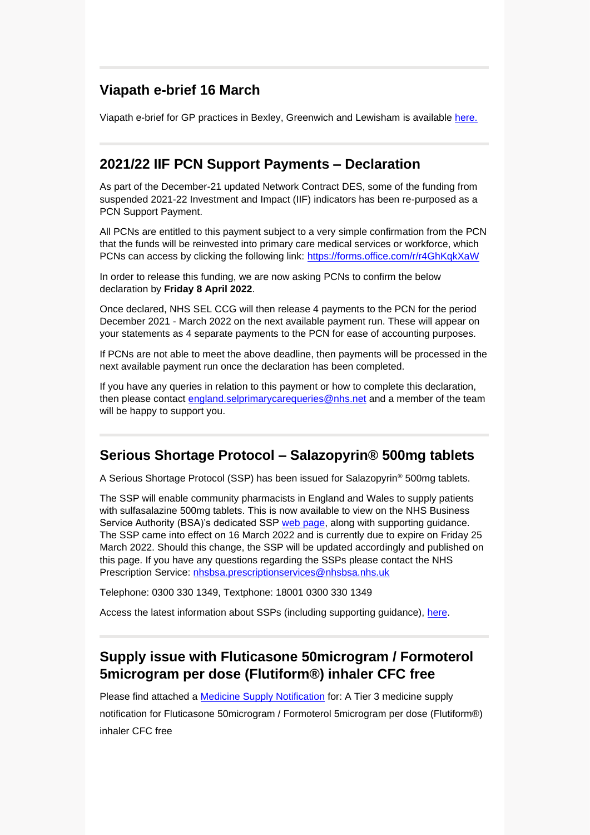# **Viapath e-brief 16 March**

Viapath e-brief for GP practices in Bexley, Greenwich and Lewisham is available [here.](https://selondonccg.nhs.uk/wp-content/uploads/2022/03/Ebrief-16-March-22.docx)

#### **2021/22 IIF PCN Support Payments – Declaration**

As part of the December-21 updated Network Contract DES, some of the funding from suspended 2021-22 Investment and Impact (IIF) indicators has been re-purposed as a PCN Support Payment.

All PCNs are entitled to this payment subject to a very simple confirmation from the PCN that the funds will be reinvested into primary care medical services or workforce, which PCNs can access by clicking the following link:<https://forms.office.com/r/r4GhKqkXaW>

In order to release this funding, we are now asking PCNs to confirm the below declaration by **Friday 8 April 2022**.

Once declared, NHS SEL CCG will then release 4 payments to the PCN for the period December 2021 - March 2022 on the next available payment run. These will appear on your statements as 4 separate payments to the PCN for ease of accounting purposes.

If PCNs are not able to meet the above deadline, then payments will be processed in the next available payment run once the declaration has been completed.

If you have any queries in relation to this payment or how to complete this declaration, then please contact [england.selprimarycarequeries@nhs.net](mailto:england.selprimarycarequeries@nhs.net) and a member of the team will be happy to support you.

#### **Serious Shortage Protocol – Salazopyrin® 500mg tablets**

A Serious Shortage Protocol (SSP) has been issued for Salazopyrin® 500mg tablets.

The SSP will enable community pharmacists in England and Wales to supply patients with sulfasalazine 500mg tablets. This is now available to view on the NHS Business Service Authority (BSA)'s dedicated SSP [web page,](https://www.nhsbsa.nhs.uk/pharmacies-gp-practices-and-appliance-contractors/serious-shortage-protocols-ssps) along with supporting guidance. The SSP came into effect on 16 March 2022 and is currently due to expire on Friday 25 March 2022. Should this change, the SSP will be updated accordingly and published on this page. If you have any questions regarding the SSPs please contact the NHS Prescription Service: [nhsbsa.prescriptionservices@nhsbsa.nhs.uk](mailto:nhsbsa.prescriptionservices@nhsbsa.nhs.uk)

Telephone: 0300 330 1349, Textphone: 18001 0300 330 1349

Access the latest information about SSPs (including supporting guidance), [here.](https://www.nhsbsa.nhs.uk/pharmacies-gp-practices-and-appliance-contractors/serious-shortage-protocols-ssps)

# **Supply issue with Fluticasone 50microgram / Formoterol 5microgram per dose (Flutiform®) inhaler CFC free**

Please find attached a **Medicine Supply Notification** for: A Tier 3 medicine supply notification for Fluticasone 50microgram / Formoterol 5microgram per dose (Flutiform®) inhaler CFC free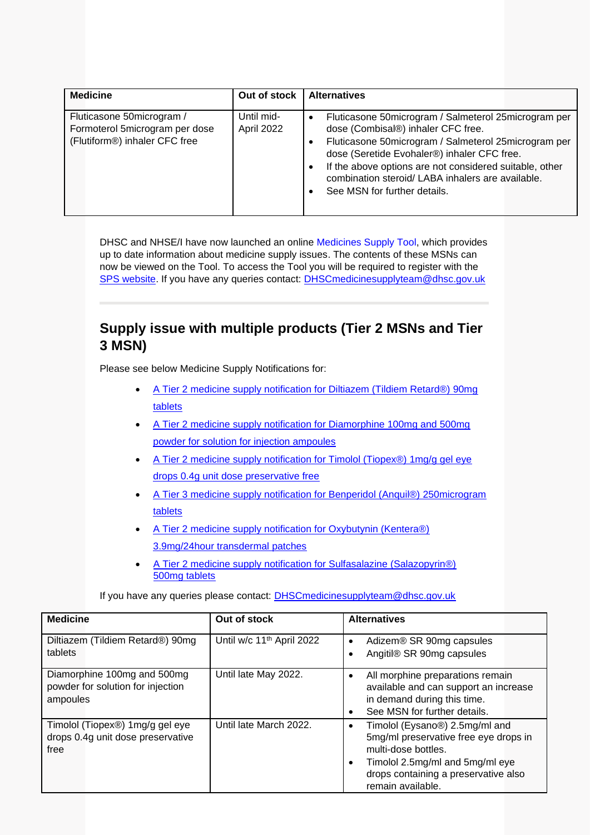| <b>Medicine</b>                                                                              | Out of stock             | <b>Alternatives</b>                                                                                                                                                                                                                                                                                                                                            |
|----------------------------------------------------------------------------------------------|--------------------------|----------------------------------------------------------------------------------------------------------------------------------------------------------------------------------------------------------------------------------------------------------------------------------------------------------------------------------------------------------------|
| Fluticasone 50microgram /<br>Formoterol 5microgram per dose<br>(Flutiform®) inhaler CFC free | Until mid-<br>April 2022 | Fluticasone 50microgram / Salmeterol 25microgram per<br>$\bullet$<br>dose (Combisal®) inhaler CFC free.<br>Fluticasone 50microgram / Salmeterol 25microgram per<br>dose (Seretide Evohaler®) inhaler CFC free.<br>If the above options are not considered suitable, other<br>combination steroid/ LABA inhalers are available.<br>See MSN for further details. |

DHSC and NHSE/I have now launched an online [Medicines Supply Tool,](https://eur03.safelinks.protection.outlook.com/?url=https%3A%2F%2Fwww.sps.nhs.uk%2Fhome%2Fplanning%2Fmedicines-supply-tool%2F&data=04%7C01%7CHannah.Wigham%40dhsc.gov.uk%7C883072d08ab2442be5e808d9fc34d637%7C61278c3091a84c318c1fef4de8973a1c%7C1%7C0%7C637818126426249768%7CUnknown%7CTWFpbGZsb3d8eyJWIjoiMC4wLjAwMDAiLCJQIjoiV2luMzIiLCJBTiI6Ik1haWwiLCJXVCI6Mn0%3D%7C3000&sdata=z%2FcGlluT5Yr9PrrzceZXd0CfBcKrlu2hhBBkiBq1kJ0%3D&reserved=0) which provides up to date information about medicine supply issues. The contents of these MSNs can now be viewed on the Tool. To access the Tool you will be required to register with the [SPS website.](https://eur03.safelinks.protection.outlook.com/?url=https%3A%2F%2Fwww.sps.nhs.uk%2F&data=04%7C01%7CHannah.Wigham%40dhsc.gov.uk%7C883072d08ab2442be5e808d9fc34d637%7C61278c3091a84c318c1fef4de8973a1c%7C1%7C0%7C637818126426249768%7CUnknown%7CTWFpbGZsb3d8eyJWIjoiMC4wLjAwMDAiLCJQIjoiV2luMzIiLCJBTiI6Ik1haWwiLCJXVCI6Mn0%3D%7C3000&sdata=dONzRBcojIGHpoxD%2BW6vw5oKu6IOAoO8awJXjf0o0bs%3D&reserved=0) If you have any queries contact: [DHSCmedicinesupplyteam@dhsc.gov.uk](mailto:DHSCmedicinesupplyteam@dhsc.gov.uk)

# **Supply issue with multiple products (Tier 2 MSNs and Tier 3 MSN)**

Please see below Medicine Supply Notifications for:

- [A Tier 2 medicine supply notification for Diltiazem \(Tildiem Retard®\) 90mg](https://selondonccg.nhs.uk/wp-content/uploads/2022/03/MSN_2022_023-Diltiazem-Tildiem-Retard®-90mg-tablets.pdf)  [tablets](https://selondonccg.nhs.uk/wp-content/uploads/2022/03/MSN_2022_023-Diltiazem-Tildiem-Retard®-90mg-tablets.pdf)
- [A Tier 2 medicine supply notification for Diamorphine 100mg and 500mg](https://selondonccg.nhs.uk/wp-content/uploads/2022/03/MSN_2022_024-Diamorphine-100mg-and-500mg-powder-for-solution-for-injection-ampoules.pdf)  [powder for solution for injection ampoules](https://selondonccg.nhs.uk/wp-content/uploads/2022/03/MSN_2022_024-Diamorphine-100mg-and-500mg-powder-for-solution-for-injection-ampoules.pdf)
- A Tier 2 medicine supply notification for Timolol (Tiopex®) 1mg/g gel eye [drops 0.4g unit dose preservative free](https://selondonccg.nhs.uk/wp-content/uploads/2022/03/MSN_2022_025-Timolol-Tiopex®-1mg-per-g-gel-eye-drops-0.4g-unit-dose-preservative-free.pdf)
- [A Tier 3 medicine supply notification for Benperidol \(Anquil®\) 250microgram](https://selondonccg.nhs.uk/wp-content/uploads/2022/03/MSN_2022_026-Benperidol-Anquil®-250microgram-tablets.pdf)  [tablets](https://selondonccg.nhs.uk/wp-content/uploads/2022/03/MSN_2022_026-Benperidol-Anquil®-250microgram-tablets.pdf)
- A Tier 2 medicine supply notification for Oxybutynin (Kentera®) [3.9mg/24hour transdermal patches](https://selondonccg.nhs.uk/wp-content/uploads/2022/03/MSN_2022_027-Oxybutynin-Kentera®-3.9mg-per-24hour-transdermal-patches.pdf)
- [A Tier 2 medicine supply notification for Sulfasalazine \(Salazopyrin®\)](https://selondonccg.nhs.uk/wp-content/uploads/2022/03/MSN_2022_028-Sulfasalazine-Salazopyrin®-500mg-tablets.pdf)  [500mg tablets](https://selondonccg.nhs.uk/wp-content/uploads/2022/03/MSN_2022_028-Sulfasalazine-Salazopyrin®-500mg-tablets.pdf)

If you have any queries please contact: [DHSCmedicinesupplyteam@dhsc.gov.uk](mailto:DHSCmedicinesupplyteam@dhsc.gov.uk)

| <b>Medicine</b>                                                              | Out of stock                          | <b>Alternatives</b>                                                                                                                                                                                              |
|------------------------------------------------------------------------------|---------------------------------------|------------------------------------------------------------------------------------------------------------------------------------------------------------------------------------------------------------------|
| Diltiazem (Tildiem Retard®) 90mg<br>tablets                                  | Until w/c 11 <sup>th</sup> April 2022 | Adizem® SR 90mg capsules<br>$\bullet$<br>Angitil® SR 90mg capsules<br>6                                                                                                                                          |
| Diamorphine 100mg and 500mg<br>powder for solution for injection<br>ampoules | Until late May 2022.                  | All morphine preparations remain<br>$\bullet$<br>available and can support an increase<br>in demand during this time.<br>See MSN for further details.<br>$\bullet$                                               |
| Timolol (Tiopex®) 1mg/g gel eye<br>drops 0.4g unit dose preservative<br>free | Until late March 2022.                | Timolol (Eysano®) 2.5mg/ml and<br>$\bullet$<br>5mg/ml preservative free eye drops in<br>multi-dose bottles.<br>Timolol 2.5mg/ml and 5mg/ml eye<br>٠<br>drops containing a preservative also<br>remain available. |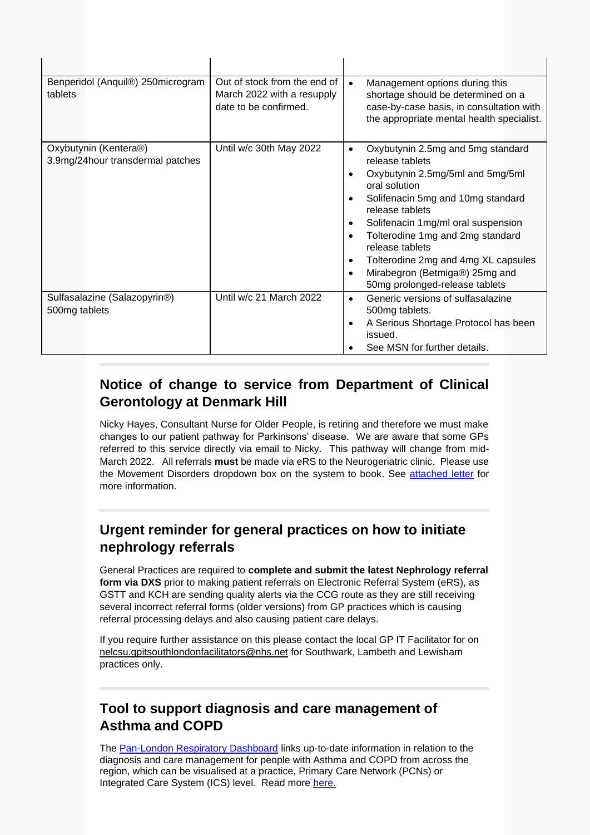| Benperidol (Anquil®) 250 microgram<br>tablets              | Out of stock from the end of<br>March 2022 with a resupply<br>date to be confirmed. | Management options during this<br>$\bullet$<br>shortage should be determined on a<br>case-by-case basis, in consultation with<br>the appropriate mental health specialist.                                                                                                                                                                                                |
|------------------------------------------------------------|-------------------------------------------------------------------------------------|---------------------------------------------------------------------------------------------------------------------------------------------------------------------------------------------------------------------------------------------------------------------------------------------------------------------------------------------------------------------------|
| Oxybutynin (Kentera®)<br>3.9mg/24hour transdermal patches  | Until w/c 30th May 2022                                                             | Oxybutynin 2.5mg and 5mg standard<br>release tablets<br>Oxybutynin 2.5mg/5ml and 5mg/5ml<br>oral solution<br>Solifenacin 5mg and 10mg standard<br>release tablets<br>Solifenacin 1mg/ml oral suspension<br>Tolterodine 1mg and 2mg standard<br>release tablets<br>Tolterodine 2mg and 4mg XL capsules<br>Mirabegron (Betmiga®) 25mg and<br>50mg prolonged-release tablets |
| Sulfasalazine (Salazopyrin <sup>®</sup> )<br>500mg tablets | Until w/c 21 March 2022                                                             | Generic versions of sulfasalazine<br>500mg tablets.<br>A Serious Shortage Protocol has been<br>issued.<br>See MSN for further details.                                                                                                                                                                                                                                    |

# **Notice of change to service from Department of Clinical Gerontology at Denmark Hill**

Nicky Hayes, Consultant Nurse for Older People, is retiring and therefore we must make changes to our patient pathway for Parkinsons' disease. We are aware that some GPs referred to this service directly via email to Nicky. This pathway will change from mid-March 2022. All referrals **must** be made via eRS to the Neurogeriatric clinic. Please use the Movement Disorders dropdown box on the system to book. See [attached letter](https://selondonccg.nhs.uk/wp-content/uploads/2022/03/Dear-GP-letter-re-Parkinsons-clinic.docx) for more information.

# **Urgent reminder for general practices on how to initiate nephrology referrals**

General Practices are required to **complete and submit the latest Nephrology referral form via DXS** prior to making patient referrals on Electronic Referral System (eRS), as GSTT and KCH are sending quality alerts via the CCG route as they are still receiving several incorrect referral forms (older versions) from GP practices which is causing referral processing delays and also causing patient care delays.

If you require further assistance on this please contact the local GP IT Facilitator for on [nelcsu.gpitsouthlondonfacilitators@nhs.net](mailto:nelcsu.gpitsouthlondonfacilitators@nhs.net) for Southwark, Lambeth and Lewisham practices only.

# **Tool to support diagnosis and care management of Asthma and COPD**

The [Pan-London Respiratory Dashboard](https://imperialcollegehealthpartners.com/resource/respiratory-population-health-dashoard/) links up-to-date information in relation to the diagnosis and care management for people with Asthma and COPD from across the region, which can be visualised at a practice, Primary Care Network (PCNs) or Integrated Care System (ICS) level. Read more [here.](https://imperialcollegehealthpartners.com/new-tool-supports-diagnosis-and-care-management-of-asthma-and-copd/)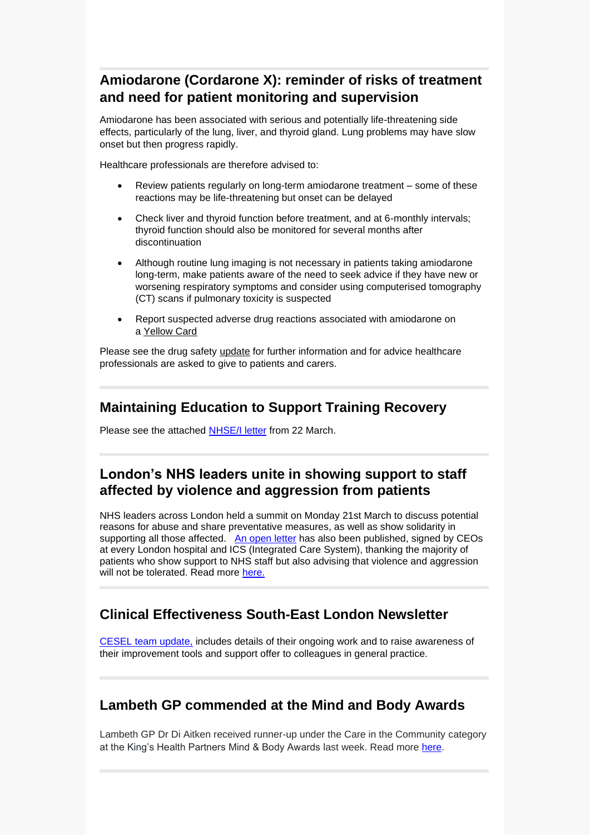# **Amiodarone (Cordarone X): reminder of risks of treatment and need for patient monitoring and supervision**

Amiodarone has been associated with serious and potentially life-threatening side effects, particularly of the lung, liver, and thyroid gland. Lung problems may have slow onset but then progress rapidly.

Healthcare professionals are therefore advised to:

- Review patients regularly on long-term amiodarone treatment some of these reactions may be life-threatening but onset can be delayed
- Check liver and thyroid function before treatment, and at 6-monthly intervals; thyroid function should also be monitored for several months after discontinuation
- Although routine lung imaging is not necessary in patients taking amiodarone long-term, make patients aware of the need to seek advice if they have new or worsening respiratory symptoms and consider using computerised tomography (CT) scans if pulmonary toxicity is suspected
- Report suspected adverse drug reactions associated with amiodarone on a [Yellow Card](http://www.mhra.gov.uk/yellowcard)

Please see the drug safety [update](https://www.gov.uk/drug-safety-update/amiodarone-cordarone-x-reminder-of-risks-of-treatment-and-need-for-patient-monitoring-and-supervision) for further information and for advice healthcare professionals are asked to give to patients and carers.

#### **Maintaining Education to Support Training Recovery**

Please see the attached [NHSE/I letter](https://selondonccg.nhs.uk/wp-content/uploads/2022/03/B1455_Maintaining-Education-to-Support-Training-Recovery_220322.pdf) from 22 March.

# **London's NHS leaders unite in showing support to staff affected by violence and aggression from patients**

NHS leaders across London held a summit on Monday 21st March to discuss potential reasons for abuse and share preventative measures, as well as show solidarity in supporting all those affected. [An open letter](https://selondonccg.nhs.uk/wp-content/uploads/2022/03/220321-An-open-message-to-NHS-staff-across-London.pdf) has also been published, signed by CEOs at every London hospital and ICS (Integrated Care System), thanking the majority of patients who show support to NHS staff but also advising that violence and aggression will not be tolerated. Read more [here.](https://selondonccg.nhs.uk/wp-content/uploads/2022/03/220321-Londons-NHS-leaders-unite-in-showing-support-to-staff-affected-by-violence-and-aggression-from-patients.docx)

# **Clinical Effectiveness South-East London Newsletter**

[CESEL team update,](https://selondonccg.nhs.uk/wp-content/uploads/2022/03/CESEL-Newsletter-Mar-22.pdf) includes details of their ongoing work and to raise awareness of their improvement tools and support offer to colleagues in general practice.

#### **Lambeth GP commended at the Mind and Body Awards**

Lambeth GP Dr Di Aitken received runner-up under the Care in the Community category at the King's Health Partners Mind & Body Awards last week. Read more [here.](https://selondonccg.nhs.uk/news/lambeth-gp-commended-at-the-mind-body-awards/)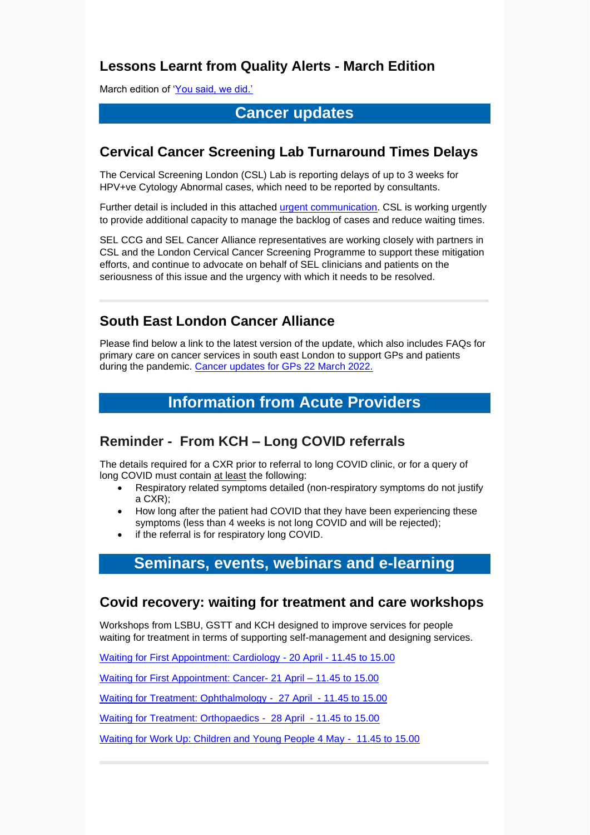# **Lessons Learnt from Quality Alerts - March Edition**

March edition of ['You said, we did.'](https://selondonccg.nhs.uk/wp-content/uploads/2022/03/Lessons-Learnt-Quality-You-said-we-did-March-22-Edition.pdf)

# **Cancer updates**

#### **Cervical Cancer Screening Lab Turnaround Times Delays**

The Cervical Screening London (CSL) Lab is reporting delays of up to 3 weeks for HPV+ve Cytology Abnormal cases, which need to be reported by consultants.

Further detail is included in this attached [urgent communication.](https://selondonccg.nhs.uk/wp-content/uploads/2022/03/TAP4994_CSL_Urgent_Comm_Reporting_Delays_V1.pdf) CSL is working urgently to provide additional capacity to manage the backlog of cases and reduce waiting times.

SEL CCG and SEL Cancer Alliance representatives are working closely with partners in CSL and the London Cervical Cancer Screening Programme to support these mitigation efforts, and continue to advocate on behalf of SEL clinicians and patients on the seriousness of this issue and the urgency with which it needs to be resolved.

# **South East London Cancer Alliance**

Please find below a link to the latest version of the update, which also includes FAQs for primary care on cancer services in south east London to support GPs and patients during the pandemic. [Cancer updates for GPs 22](https://selondonccg.nhs.uk/wp-content/uploads/2022/03/SEL-Cancer-Updates-FAQs-for-Primary-Care-23-Mar-2022.pdf) March 2022.

# **Information from Acute Providers**

# **Reminder - From KCH – Long COVID referrals**

The details required for a CXR prior to referral to long COVID clinic, or for a query of long COVID must contain at least the following:

- Respiratory related symptoms detailed (non-respiratory symptoms do not justify a CXR);
- How long after the patient had COVID that they have been experiencing these symptoms (less than 4 weeks is not long COVID and will be rejected);
- if the referral is for respiratory long COVID.

# **Seminars, events, webinars and e-learning**

#### **Covid recovery: waiting for treatment and care workshops**

Workshops from LSBU, GSTT and KCH designed to improve services for people waiting for treatment in terms of supporting self-management and designing services.

[Waiting for First Appointment: Cardiology](https://selondonccg.nhs.uk/wp-content/uploads/2022/03/Plain-English-invitation_Waiting-for-Treatment_-Cardiology_Updated.docx) - 20 April - 11.45 to 15.00

[Waiting for First Appointment: Cancer-](https://selondonccg.nhs.uk/wp-content/uploads/2022/03/Plain-English-invitation_Waiting-for-Treatment-_Cancer_Updated.docx) 21 April – 11.45 to 15.00

[Waiting for Treatment: Ophthalmology](https://selondonccg.nhs.uk/wp-content/uploads/2022/03/Plain-English-invitation_Waiting-for-Treatment-_Ophthalmology_updated.docx) - 27 April - 11.45 to 15.00

[Waiting for Treatment: Orthopaedics](https://selondonccg.nhs.uk/wp-content/uploads/2022/03/Plain-English-invitation_Waiting-for-Treatment_-Ortho_Updated.docx) - 28 April - 11.45 to 15.00

[Waiting for Work Up: Children and Young People 4 May](https://selondonccg.nhs.uk/wp-content/uploads/2022/03/Plain-English-invitation_Waiting-for-Treatment_-CYP_updated.docx) - 11.45 to 15.00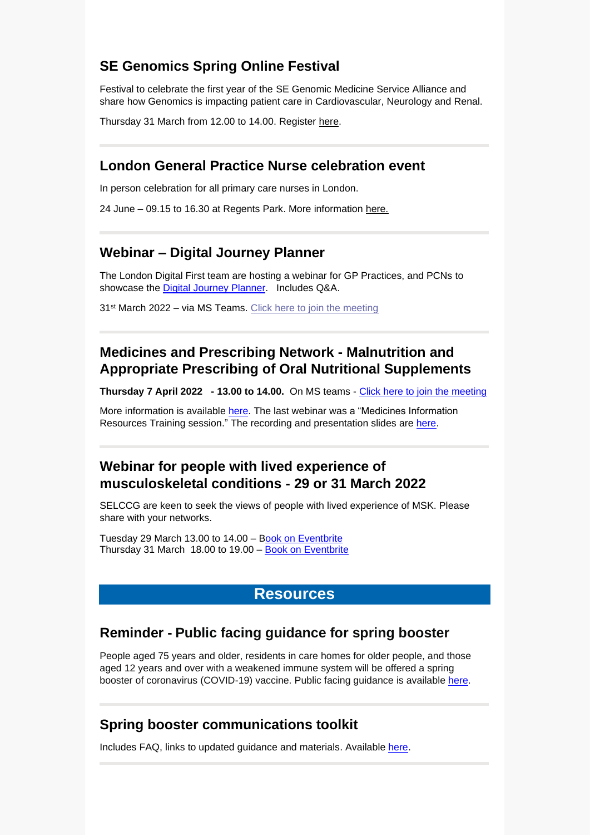# **SE Genomics Spring Online Festival**

Festival to celebrate the first year of the SE Genomic Medicine Service Alliance and share how Genomics is impacting patient care in Cardiovascular, Neurology and Renal.

Thursday 31 March from 12.00 to 14.00. Register [here.](https://southeastgenomics.nhs.uk/event/se-genomics-spring-festival-2022/)

#### **London General Practice Nurse celebration event**

In person celebration for all primary care nurses in London.

24 June – 09.15 to 16.30 at Regents Park. More information [here.](https://selondonccg.nhs.uk/wp-content/uploads/2022/03/A-celebration-event.._-002.png)

#### **Webinar – Digital Journey Planner**

The London Digital First team are hosting a webinar for GP Practices, and PCNs to showcase the Digital Journey [Planner.](https://digitaljourneyplanner.co.uk/) Includes Q&A.

31<sup>st</sup> March 2022 – via MS Teams. [Click here to join the meeting](https://teams.microsoft.com/l/meetup-join/19%3ameeting_ZmM5OWRlZmQtMmVjMC00ZDM5LTlmNzgtMjk2Mjc3MDc5MWUw%40thread.v2/0?context=%7b%22Tid%22%3a%2203159e92-72c6-4b23-a64a-af50e790adbf%22%2c%22Oid%22%3a%2243678d3c-4194-4a70-8cc8-531c43cc9c2d%22%7d)

# **Medicines and Prescribing Network - Malnutrition and Appropriate Prescribing of Oral Nutritional Supplements**

**Thursday 7 April 2022 - 13.00 to 14.00.** On MS teams - [Click here to join the meeting](https://scanmail.trustwave.com/?c=8248&d=gt2o4rLnusBxNA9GsHBsVc8y2FGL-OHIwLB8Yzc9Hw&u=https%3a%2f%2fteams%2emicrosoft%2ecom%2fl%2fmeetup-join%2f19%253ameeting%5fZDVjZDcwN2MtYTFiMi00ODgxLWExZTItNWJmODljODAwMzQw%2540thread%2ev2%2f0%3fcontext%3d%257b%2522Tid%2522%253a%252237c354b2-85b0-47f5-b222-07b48d774ee3%2522%252c%2522Oid%2522%253a%2522f86e954d-7171-4ee2-8eaf-9c14f446d379%2522%257d)

More information is available [here.](https://selondonccg.nhs.uk/wp-content/uploads/2022/03/ONS-prescribing-webinar.pdf) The last webinar was a "Medicines Information Resources Training session." The recording and presentation slides are [here.](https://selondonccg.nhs.uk/covid_19/medications/)

#### **Webinar for people with lived experience of musculoskeletal conditions - 29 or 31 March 2022**

SELCCG are keen to seek the views of people with lived experience of MSK. Please share with your networks.

Tuesday 29 March 13.00 to 14.00 – [Book on Eventbrite](https://www.eventbrite.co.uk/e/webinar-for-people-with-lived-experience-of-musculoskeletal-conditions-tickets-290377937227) Thursday 31 March 18.00 to 19.00 – [Book on Eventbrite](https://www.eventbrite.co.uk/e/webinar-for-people-with-lived-experience-of-musculoskeletal-conditions-tickets-290412109437)

#### **Resources**

# **Reminder - Public facing guidance for spring booster**

People aged 75 years and older, residents in care homes for older people, and those aged 12 years and over with a weakened immune system will be offered a spring booster of coronavirus (COVID-19) vaccine. Public facing guidance is available [here.](https://www.gov.uk/government/publications/covid-19-vaccination-spring-booster-resources/a-guide-to-the-spring-booster-for-those-aged-75-years-and-older-residents-in-care-homes)

# **Spring booster communications toolkit**

Includes FAQ, links to updated guidance and materials. Available [here.](https://selondonccg.nhs.uk/wp-content/uploads/2022/03/2022-03-NHS-COVID-19-vaccine-spring-boosters-toolkit-vF.pdf)